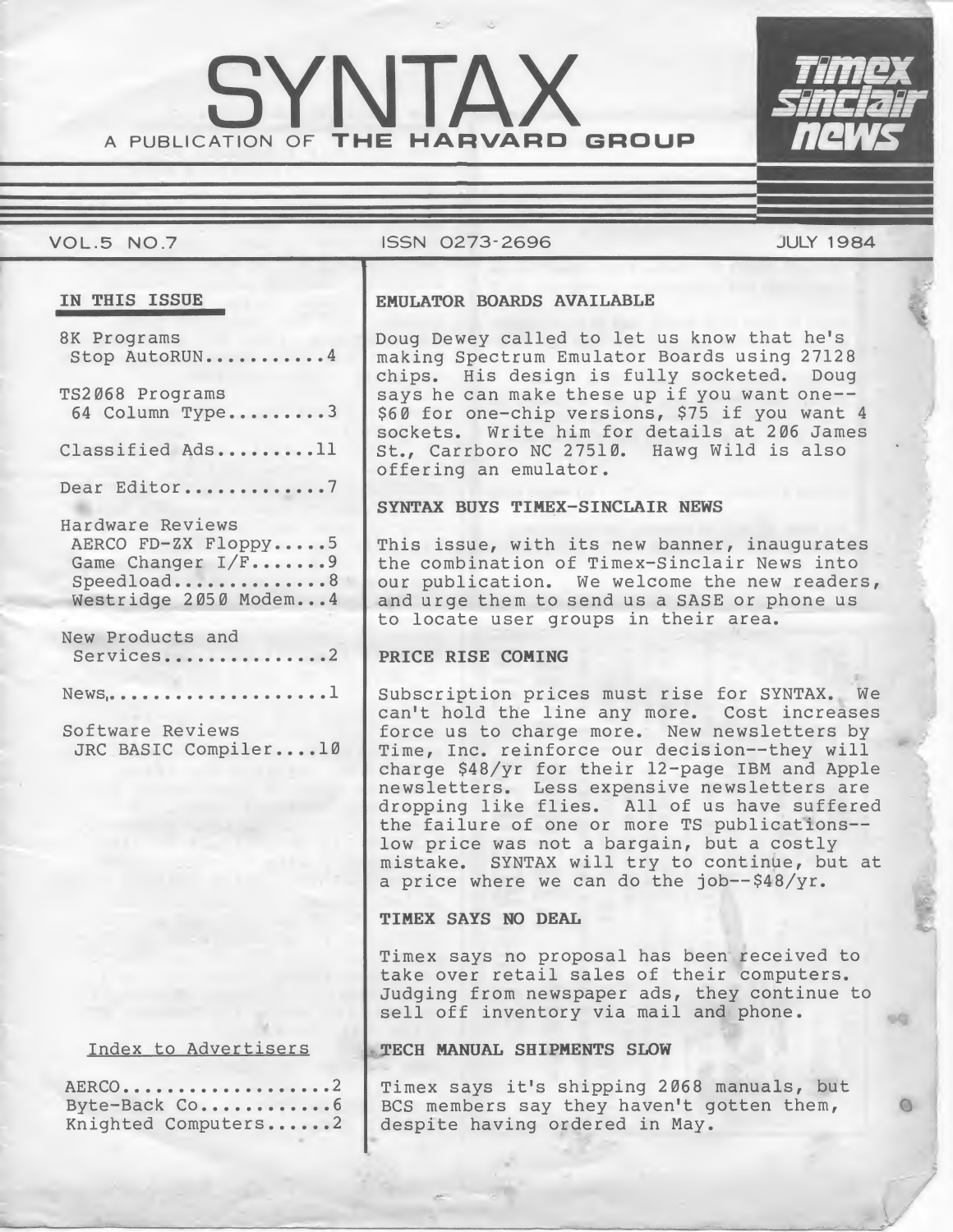# A PUBLICATION OF THE HARVARD GROUP SYNTAX



# VOL.5 NO .7 ISSN 0273-2696 JULY 1984

9G)

 $\odot$ 

#### IN THIS ISSUE

- 8K Programs Stop AutoRUN.....
- TS2068 Programs 64 Column Type.........3
- Classified Ads.........11

Dear Editor............7

- Hardware Reviews AERCO FD-ZX Floppy.....5 ardware Reviews<br>AERCO FD-ZX Floppy.....5<br>Game Changer I/F.......9<br>Speedload Game Changer I/F.......3<br>Speedload............8<br>Maatridge 2050 Modern 4 Speedload..............8<br>Westridge 2050 Modem...4
- New Products and Services..............2

 $News_{i}$ .....................

Software Reviews JRC BASIC Compiler....10

Index to Advertisers

AERCO..................2 Byte-Back Co.. Knighted Computers,

#### EMULATOR BOARDS AVAILABLE

Doug Dewey called to let us know that he's making Spectrum Emulator Boards using 27128 chips. His design is fully socketed. Doug says he can make these up if you want one--\$60 for one-chip versions, \$75 if you want <sup>4</sup> sockets. Write him for details at 206 James St., Carrboro NC 27510. Hawg Wild is also offering an emulator.

#### SYNTAX BUYS TIMEX-SINCLAIR NEWS

This issue, with its new banner, inaugurates the combination of Timex-Sinclair News into our publication. We welcome the new readers, and urge them to send us a SASE or phone us to locate user groups in their area.

#### PRICE RISE COMING

Subscription prices must rise for SYNTAX. We can't hold the line any more. Cost increases force us to charge more. New newsletters by Time, Inc. reinforce our decision--they will charge \$48/yr for their 12-page IBM and Apple newsletters. Less expensive newsletters are dropping like flies. All of us have suffered the failure of one or more TS publications low price was not a bargain, but a costly mistake. SYNTAX will try to continue, but at a price where we can do the job--\$48/yr.

#### TIMEX SAYS NO DEAL

Timex says no proposal has been received to take over retail sales of their computers. Judging from newspaper ads, they continue to sell off inventory via mail and phone.

#### TECH MANUAL SHIPMENTS SLOW

Timex says it's shipping <sup>2068</sup> manuals, but BCS members say they haven't gotten them, despite having ordered in May.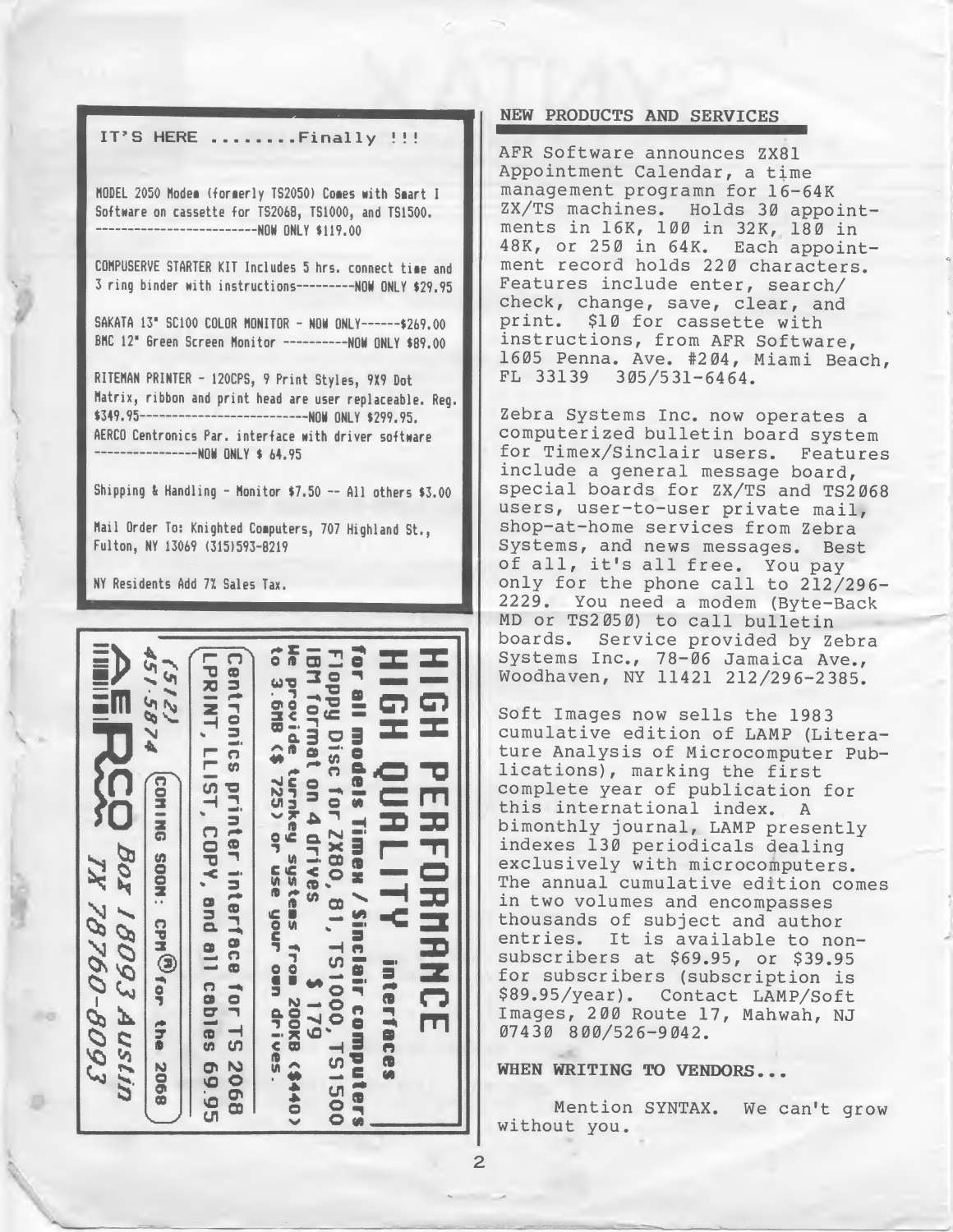#### IT'S HERE ........Finally !!!

MODEL 2050 Modem (formerly TS2050) Comes with Smart I Software on cassette for TS206B, TS1000, and TS1500. IT'S HERE<br>MODEL 2050 Modem (former)<br>MODEL 2050 Modem (former)<br>Software on cassette for<br>COMPUSERVE STARTER KIT In<br>3 ring binder with instru<br>SAKATA 13" SC100 COLOR MO<br>BMC 12" Green Screen Moni --------------NOW ONLY \$119.00

COMPUSERVE STARTER KIT Includes 5 hrs. connect time and 3 ring binder with instructions---------NOW ONLY \$29.95

SAKATA 13" SC100 COLOR MONITOR - NOW ONLY------ \$269.00 BMC 12" Green Screen Monitor ---------NOW ONLY \$89.00

RITEMAN PRINTER - 120CPS, <sup>9</sup> Print Styles, 9X9 Dot Matrix, ribbon and print head are user replaceable. Reg. \$349.95--------------------------------NOW ONLY \$299.95. AERCO Centronics Par. interface with driver software -NONONLY \$ 64.95

Shipping & Handling - Monitor \$7.50 — All others \$3.00

Mail Order To: Knighted Computers, 707 Highland St., Fulton, NY 13069 (315)593-8219

NY Residents Add 71 Sales Tax.



#### NEW PRODUCTS AND SERVICES

AFR Software announces ZX81 Appointment Calendar, a time management programn for 16-64K ZX/TS machines. Holds 30 appointments in 16K, 100 in 32K, 180 in 48K, or 250 in 64K. Each appointment record holds 220 characters. Features include enter, search/ check, change, save, clear, and<br>print. \$10 for cassette with \$10 for cassette with instructions, from AFR Software, 1605 Penna. Ave. #204, Miami Beach, FL 33139 305/531-6464.

Zebra Systems Inc. now operates a computerized bulletin board system for Timex/Sinclair users. Features include a general message board, special boards for ZX/TS and TS2068 users, user-to-user private mail, shop-at-home services from Zebra Systems, and news messages. systems, and news messages. Be<br>of all, it's all free. You pay only for the phone call to 212/296-2229. You need a modem (Byte-Back MD or TS2 050) to call bulletin boards. Service provided by Zebra Systems Inc., 78-06 Jamaica Ave., Woodhaven, NY 11421 212/296-2385.

Soft Images now sells the 1983 cumulative edition of LAMP (Litera ture Analysis of Microcomputer Publications), marking the first complete year of publication for<br>this international index. A this international index. bimonthly journal, LAMP presently indexes 130 periodicals dealing exclusively with microcomputers. The annual cumulative edition comes in two volumes and encompasses thousands of subject and author entries. It is available to nonsubscribers at \$69.95, or \$39.95 for subscribers (subscription is<br>\$89.95/year). Contact LAMP/Soft Contact LAMP/Soft Images, 200 Route 17, Mahwah, NJ 07430 800/526-9042.

## WHEN WRITING TO VENDORS...

Mention SYNTAX. We can't grow without you.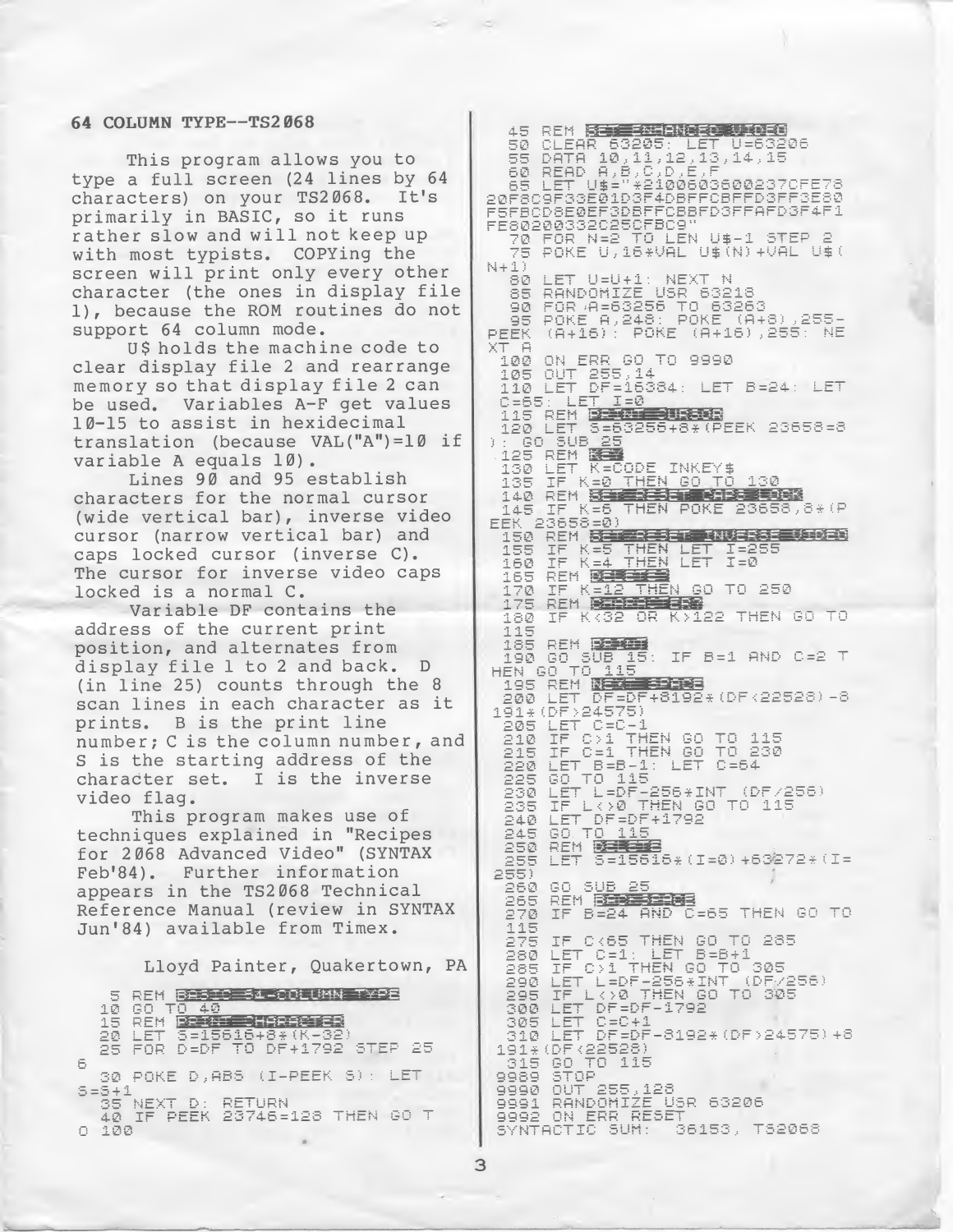#### 64 COLUMN TYPE—TS2068

This program allows you to type a full screen (24 lines by 64<br>characters) on your TS2068. It's characters) on your TS2068. primarily in BASIC, so it runs rather slow and will not keep up with most typists. COPYing the screen will print only every other character (the ones in display file 1), because the ROM routines do not support 64 column mode.

U\$ holds the machine code to clear display file <sup>2</sup> and rearrange memory so that display file <sup>2</sup> can be used. Variables A-F get values 10-15 to assist in hexidecimal translation (because VAL("A")=10 if variable <sup>A</sup> equals 10).

Lines 90 and <sup>95</sup> establish characters for the normal cursor (wide vertical bar), inverse video cursor (narrow vertical bar) and caps locked cursor (inverse C). The cursor for inverse video caps locked is <sup>a</sup> normal C.

Variable DF contains the address of the current print position, and alternates from display file <sup>1</sup> to <sup>2</sup> and back. <sup>D</sup> (in line 25) counts through the <sup>8</sup> scan lines in each character as it prints. <sup>B</sup> is the print line number; <sup>C</sup> is the column number, and S is the starting address of the<br>character set. I is the inverse I is the inverse video flag.

This program makes use of techniques explained in "Recipes for 2068 Advanced Video" (SYNTAX Feb'84). Further information appears in the TS2068 Technical Reference Manual (review in SYNTAX Jun'84) available from Timex.

Lloyd Painter, Quakertown, PA

5 REM BASIC 54-COLUMN 1998<br>10 GO TO 40<br>15 REM BAINT CHRARACTER 20 LET 5=15616+8\*(K-32)<br>25 FOR D=DF TO DF+1792 STEP 25 6 30 POKE D, ABS (I-PEEK S): LET 38 FORE D, ADD (1-FEER S): EE!<br>55 NEXT D: RETURN<br>40 IF PEEK 23746=128 THEN GO T<br>0 100

REM SET ENHANCED UIDEO 45 70 FOR N=2 TO LEN U\$-1 STEP 2<br>75 poke u,15\*val u\$(n)+val u\$(<br>1)  $N+1$ .<br>80 LET U=U+1: NEXT N<br>85 RANDOMIZE USR 63218<br>95 POKE A,248: POKE (A+8),255–<br>85 POKE A,248: POKE (A+8),255: NE<br>EK (A+16): POKE (A+16),255: NE PEEK Tä ХT 100 ON ERR GO TO 9990<br>105 OUT 255,14<br>110 LET DF=16384: LET B=24: LET<br>0=65<u>: LET I=0</u> 115 REM PRINT CURSOR 5-63256+8\* (PEEK 23658=8 LET<br>) sub 120 GO<sup>T</sup> 125 REM **REM** 130 LET R=CODE INKEY\$<br>135 IF K=0 THEN GO TO 130 135 IF K=<mark>0 Then Go To 130</mark><br>140 Rem <mark>Set Reset Cars Lock</mark><br>145 IF K=<mark>5 Then Poke 2365</mark>8, THEN POKE 23658, 8% (P) EĒK  $23658 = 0$ 150 REM BET RESET INVERSE VIDEO 155 TE K=5 THEN LET I=255<br>TE K=4 THEN LET I=0 160 165 REM DELETE<br>170 IF K=12 THE K=12 THEN GO TO 250 170 IF K=<mark>12 Then G</mark><br>175 Rem <del>Sharat</del>ier? KK32 OR KY122 THEN GO 180 TF T0 115 REM <mark>PEINT</mark><br>GO SUB 15<br>GO TO 115 185 15: IF B=1 AND C=2 T 190 HEN GO 195 REM NEXT SPACE<br>200 LET DF=DF+8192\*(DF<22528)-8 200 LET DF=DF<br>191# (DF>24575) UPI)<br>LET<br>IF ( 205 ) LET C=C-1<br>IF C>1 THEN GO TO 115<br>IF C=1 THEN GO TO 230 10105<br>10115<br>1011  $EFT$   $B=B-1$ :<br> $G0$   $T0$   $115$ LET  $C = 64$ 225<br>230 <u>LET</u> L=DF-256\*INT (DF/256)<br>L<>0 THEN GO TO 115 ÏĒ  $235$ <br> $240$ LET DF=DF<br>GO TO 115  $DF = DF + 1792$ 245 250<br>255 REM REIGE<br>LET S=15616\*(I=0)+63272\*(I= 255) GO SUB 25 260 265<br>270 REM BACK SPACE IF B=24 AND C=65 THEN GO TO 115 275 IF CK65 THEN GO TO 285  $\begin{bmatrix} 1 \ \overline{1} \ \overline{2} \ \overline{1} \ \overline{1} \ \overline{1} \ \overline{1} \ \overline{1} \ \overline{1} \ \overline{1} \ \overline{1} \ \overline{1} \ \overline{1} \ \overline{1} \ \overline{1} \ \overline{1} \ \overline{1} \ \overline{1} \ \overline{1} \ \overline{1} \ \overline{1} \ \overline{1} \ \overline{1} \ \overline{1} \ \overline{1} \ \overline{1} \ \overline{1} \ \overline{1} \ \overline{1} \ \overline{1} \ \overline{1} \ \$ C=1: LET B=B+1<br>>>1 THEN GO TO 305  $\bar{2}8\bar{0}$  $C>1$ 285 285 IFT DII HEEN GU TU GOS<br>295 LET LEDF-2558INT (DF/256)<br>295 IF Led THEN GO TO 305<br>300 LET DF-DF-1792 LET D=0+1<br>LET D=0+1<br>LET DF=DF-8192\*(DF>24575)+8<br>(DF<22528) 305 310 191¥(DF(22528)<br>\_315 GO\_TO 115 9989 STOP<br>9990 OUT 255,128<br>9991 RANDOMIZE US<br>9992 ON ERR RESET USR 63206 SYNTACTIC SUM: 36153, T52068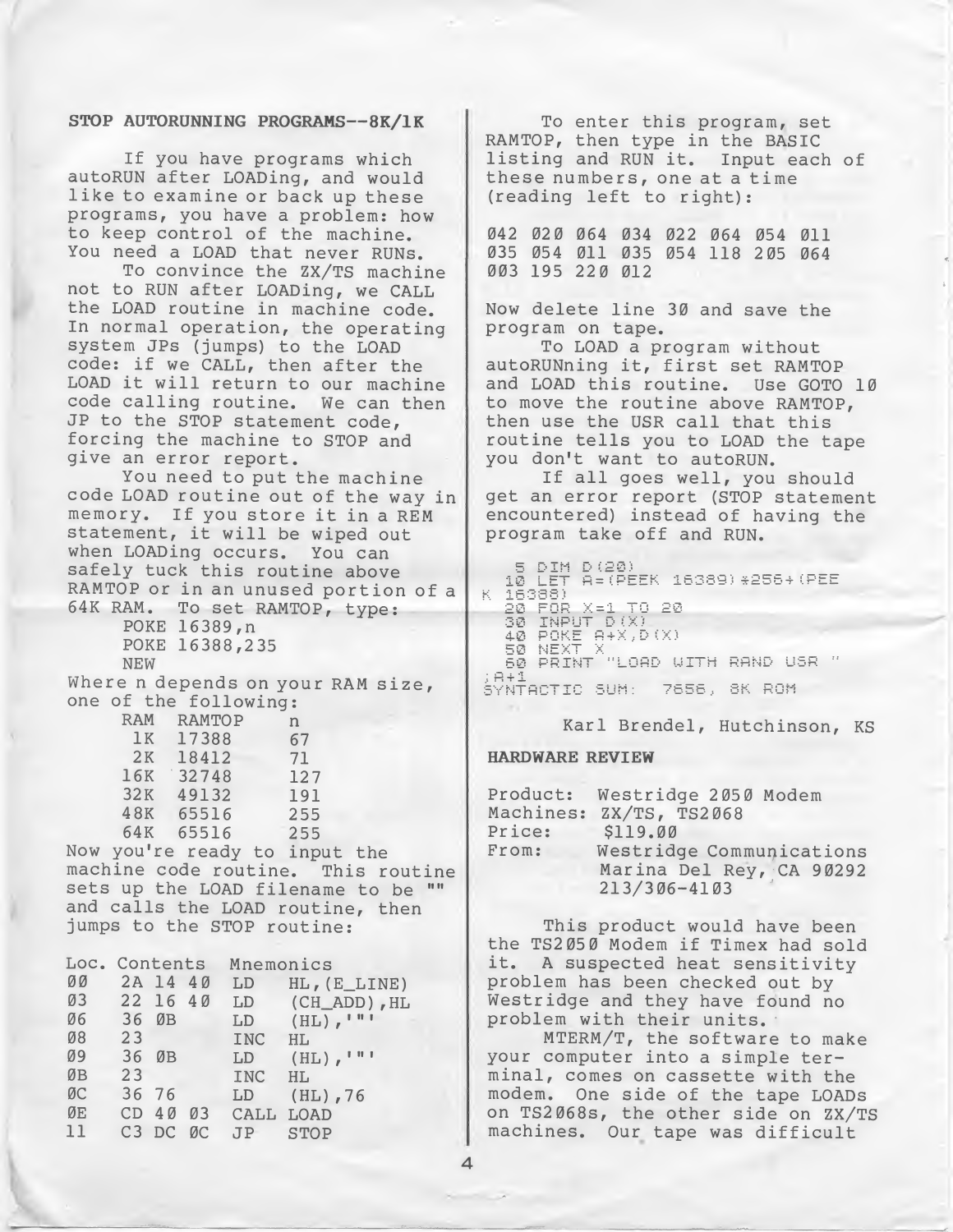#### STOP AUTORUNNING PROGRAMS--8K/1K

If you have programs which autoRUN after LOADing, and would like to examine or back up these programs, you have a problem: how to keep control of the machine. You need a LOAD that never RUNS.

To convince the ZX/TS machine not to RUN after LOADing, we CALL the LOAD routine in machine code. In normal operation, the operating system JPs (jumps) to the LOAD code: if we CALL, then after the LOAD it will return to our machine code calling routine. We can then JP to the STOP statement code, forcing the machine to STOP and give an error report.

You need to put the machine code LOAD routine out of the way in memory. If you store it in <sup>a</sup> REM statement, it will be wiped out when LOADing occurs. You can safely tuck this routine above RAMTOP or in an unused portion of a 64K RAM. To set RAMTOP, type:

POKE 16389,n POKE 16388,235 NEW

Where <sup>n</sup> depends on your RAM size, one of the following:

| <b>RAM</b> | <b>RAMTOP</b> | n   |
|------------|---------------|-----|
| 1K         | 17388         | 67  |
| 2K         | 18412         | 71  |
| 16K        | 32748         | 127 |
| 32K        | 49132         | 191 |
| 48K        | 65516         | 255 |
| 64K        | 65516         | 255 |
|            |               |     |

Now you're ready to input the machine code routine. This routine sets up the LOAD filename to be "" and calls the LOAD routine, then jumps to the STOP routine:

|             |          |         |    | Loc. Contents Mnemonics |                   |
|-------------|----------|---------|----|-------------------------|-------------------|
| ØØ          | 2A 14 40 |         |    | LD                      | $HL$ , $(E_LINE)$ |
| 03 22 16 40 |          |         |    |                         | LD (CH_ADD), HL   |
| 06 36 0B    |          |         |    |                         | $LD$ $(HL)$ , $"$ |
| Ø8          | 23       |         |    | <b>INC</b>              | HL                |
| 09          | 36 ØB    |         |    | LD                      | $(HL)$ , $H''$    |
| ØB          | 23       |         |    | INC                     | HL                |
| ØC          |          | 36 76   |    | LD                      | $(HL)$ , 76       |
| ØE          | CD       | 40      | Ø3 | CALL LOAD               |                   |
| 11          |          | $C3$ DC | OC | <b>JP</b>               | STOP              |

To enter this program, set RAMTOP, then type in the BASIC listing and RUN it. Input each of these numbers, one at a time (reading left to right):

042 020 064 034 022 064 054 011 035 054 011 035 054 118 205 064 003 195 220 012

Now delete line <sup>30</sup> and save the program on tape.

To LOAD a program without autoRUNning it, first set RAMTOP and LOAD this routine. Use GOTO 10 to move the routine above RAMTOP, then use the USR call that this routine tells you to LOAD the tape you don't want to autoRUN.

If all goes well, you should get an error report (STOP statement encountered) instead of having the program take off and RUN.

5 DIM D(20)<br>10 LET A=(PEEK 16389) \*256+(PEE 16388) K. 20 FOR X=1 TO 20<br>30 INPUT D(X)<br>40 POKE A+X,D(X)<br>50 NEXT X..... 60 PRINT "LOAD WITH RAND USR " SYNTACTIC SUM: 7656, 8K ROM

Karl Brendel, Hutchinson, KS

## HARDWARE REVIEW

| Product:  | Westridge 2050 Modem     |
|-----------|--------------------------|
| Machines: | ZX/TS, TS2068            |
| Price:    | \$119.00                 |
| From:     | Westridge Communications |
|           | Marina Del Rey, CA 90292 |
|           | 213/306-4103             |

This product would have been the TS2050 Modem if Timex had sold it. <sup>A</sup> suspected heat sensitivity problem has been checked out by Westridge and they have found no problem with their units.

MTERM/T, the software to make your computer into a simple terminal, comes on cassette with the modem. One side of the tape LOADS on TS2068s, the other side on ZX/TS machines. Our tape was difficult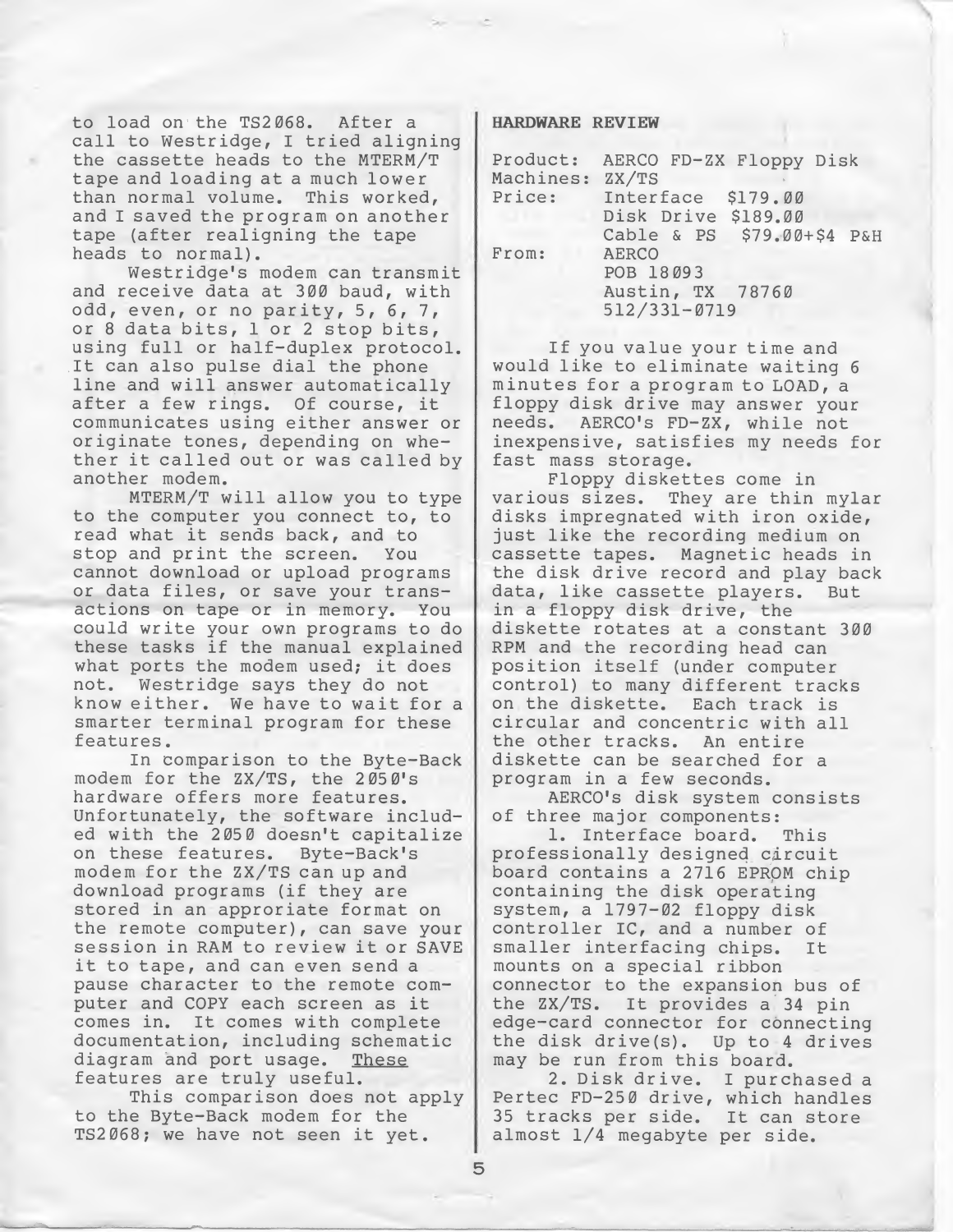to load on the TS2068. After a call to Westridge, I tried aligning the cassette heads to the MTERM/T tape and loading at a much lower than normal volume. This worked, and I saved the program on another tape (after realigning the tape heads to normal).

Westridge's modem can transmit and receive data at 300 baud, with odd, even, or no parity, 5, 6, 7, or <sup>8</sup> data bits, <sup>1</sup> or <sup>2</sup> stop bits, using full or half-duplex protocol. It can also pulse dial the phone line and will answer automatically after <sup>a</sup> few rings. Of course, it communicates using either answer or originate tones, depending on whether it called out or was called by another modem.

MTERM/T will allow you to type to the computer you connect to, to read what it sends back, and to<br>stop and print the screen. You stop and print the screen. cannot download or upload programs or data files, or save your trans-<br>actions on tape or in memory. You actions on tape or in memory. could write your own programs to do these tasks if the manual explained what ports the modem used; it does<br>not. Westridge says they do not Westridge says they do not know either. We have to wait for a smarter terminal program for these features.

In comparison to the Byte-Back modem for the ZX/TS, the <sup>2</sup> <sup>05</sup> 0's hardware offers more features. Unfortunately, the software included with the 2050 doesn't capitalize on these features. Byte-Back's modem for the ZX/TS can up and download programs (if they are stored in an approriate format on the remote computer), can save your session in RAM to review it or SAVE it to tape, and can even send <sup>a</sup> pause character to the remote computer and COPY each screen as it comes in. It comes with complete documentation, including schematic diagram and port usage. These features are truly useful.

This comparison does not apply to the Byte-Back modem for the TS2068; we have not seen it yet.

#### HARDWARE REVIEW

| Machines: ZX/TS | Product: AERCO FD-ZX Floppy Disk |
|-----------------|----------------------------------|
| Price:          | Interface \$179.00               |
|                 | Disk Drive \$189.00              |
|                 | Cable & PS \$79.00+\$4 P&H       |
| From:           | <b>AERCO</b>                     |
|                 | POB 18093                        |
|                 | Austin, TX 78760<br>512/331-0719 |

If you value your time and would like to eliminate waiting <sup>6</sup> minutes for a program to LOAD, a floppy disk drive may answer your needs. AERCO's FD-ZX, while not inexpensive, satisfies my needs for fast mass storage.

Floppy diskettes come in various sizes. They are thin mylar disks impregnated with iron oxide, just like the recording medium on cassette tapes. Magnetic heads in the disk drive record and play back<br>data, like cassette players. But data, like cassette players. in a floppy disk drive, the diskette rotates at a constant 300 RPM and the recording head can position itself (under computer control) to many different tracks on the diskette. Each track is circular and concentric with all the other tracks. An entire diskette can be searched for a program in a few seconds.

AERCO's disk system consists of three major components:<br>1. Interface board. This

1. Interface board. professionally designed circuit board contains a 2716 EPRQM chip containing the disk operating system, a 1797-02 floppy disk controller IC, and a number of<br>smaller interfacing chips. It smaller interfacing chips. mounts on a special ribbon connector to the expansion bus of the ZX/TS. It provides <sup>a</sup> <sup>34</sup> pin edge-card connector for connecting the disk drive(s). Up to <sup>4</sup> drives may be run from this board.

2. Disk drive. I purchased a Pertec FD-250 drive, which handles <sup>35</sup> tracks per side. It can store almost 1/4 megabyte per side.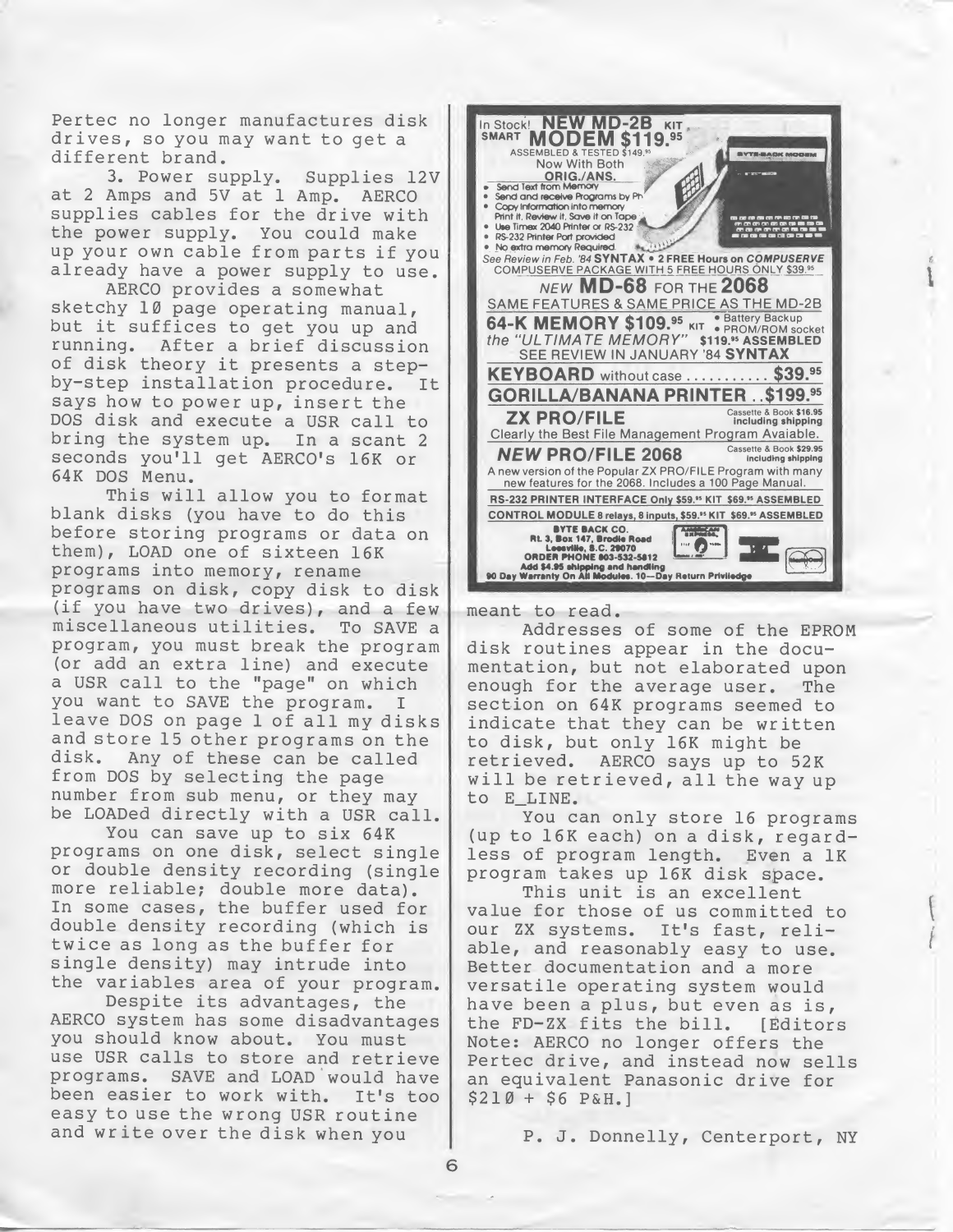Pertec no longer manufactures disk drives, so you may want to get a different brand.

3. Power supply. Supplies 12V at <sup>2</sup> Amps and 5V at <sup>1</sup> Amp. AERCO supplies cables for the drive with the power supply. You could make up your own cable from parts if you already have a power supply to use.

AERCO provides a somewhat sketchy 10 page operating manual, but it suffices to get you up and running. After <sup>a</sup> brief discussion of disk theory it presents <sup>a</sup> stepby-step installation procedure. It says how to power up, insert the DOS disk and execute a USR call to bring the system up. In a scant <sup>2</sup> seconds you'll get AERCO's 16K or 64K DOS Menu.

This will allow you to format blank disks (you have to do this before storing programs or data on them), LOAD one of sixteen 16K programs into memory, rename programs on disk, copy disk to disk (if you have two drives), and a few miscellaneous utilities. To SAVE <sup>a</sup> program, you must break the program (or add an extra line) and execute a USR call to the "page" on which you want to SAVE the program. I leave DOS on page <sup>1</sup> of all my disks and store 15 other programs on the<br>disk. Any of these can be called Any of these can be called from DOS by selecting the page number from sub menu, or they may be LOADed directly with <sup>a</sup> USR call.

You can save up to six 64K programs on one disk, select single or double density recording (single more reliable; double more data). In some cases, the buffer used for double density recording (which is twice as long as the buffer for single density) may intrude into the variables area of your program.

Despite its advantages, the AERCO system has some disadvantages you should know about. You must use USR calls to store and retrieve programs. SAVE and LOAD would have been easier to work with. It's too easy to use the wrong USR routine and write over the disk when you



#### meant to read.

Addresses of some of the EPROM disk routines appear in the documentation, but not elaborated upon enough for the average user. The section on 64K programs seemed to indicate that they can be written to disk, but only 16K might be retrieved. AERCO says up to 52K will be retrieved, all the way up to E\_LINE.

You can only store 16 programs (up to 16K each) on a disk, regardless of program length. Even a IK program takes up 16K disk space.

This unit is an excellent value for those of us committed to our ZX systems. It's fast, reliable, and reasonably easy to use. Better documentation and a more versatile operating system would have been a plus, but even as is,<br>the FD-ZX fits the bill. [Editors the FD-ZX fits the bill. Note: AERCO no longer offers the Pertec drive, and instead now sells an equivalent Panasonic drive for  $$210 + $6$  P&H.]

P. J. Donnelly, Centerport, NY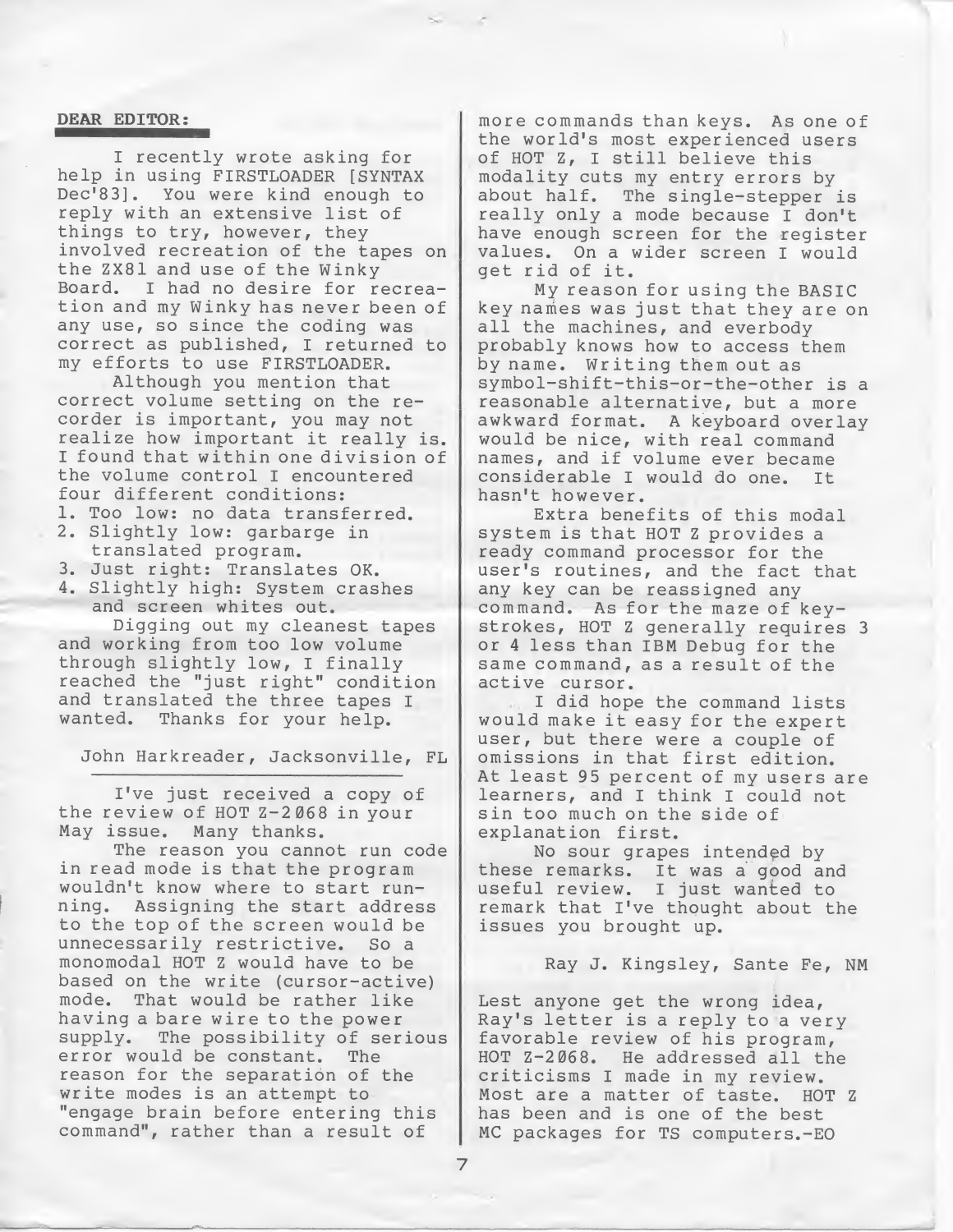#### DEAR EDITOR:

I recently wrote asking for help in using FIRSTLOADER [SYNTAX Dec'83]. You were kind enough to reply with an extensive list of things to try, however, they involved recreation of the tapes on the ZX81 and use of the Winky Board. I had no desire for recreation and my Winky has never been of any use, so since the coding was correct as published, I returned to my efforts to use FIRSTLOADER.

Although you mention that correct volume setting on the recorder is important, you may not realize how important it really is. I found that within one division of the volume control I encountered four different conditions:

- 1. Too low: no data transferred. 2. Slightly low: garbarge in translated program.
- 3. Just right: Translates OK.
- 4. Slightly high: System crashes and screen whites out.

Digging out my cleanest tapes and working from too low volume through slightly low, I finally reached the "just right" condition and translated the three tapes I<br>wanted. Thanks for your help. Thanks for your help.

John Harkreader, Jacksonville, FL

I've just received a copy of the review of HOT Z-2 068 in your May issue. Many thanks.

The reason you cannot run code in read mode is that the program wouldn't know where to start running. Assigning the start address to the top of the screen would be unnecessarily restrictive. So a monomodal HOT <sup>Z</sup> would have to be based on the write (cursor-active) mode. That would be rather like having a bare wire to the power supply. The possibility of serious<br>error would be constant. The error would be constant. reason for the separation of the write modes is an attempt to "engage brain before entering this command", rather than a result of

more commands than keys. As one of the world's most experienced users of HOT Z, <sup>I</sup> still believe this modality cuts my entry errors by about half. The single-stepper is really only a mode because I don't have enough screen for the register values. On a wider screen I would get rid of it.

My reason for using the BASIC key names was just that they are on all the machines, and everbody probably knows how to access them by name. Writing them out as symbol-shift-this-or-the-other is a reasonable alternative, but a more awkward format. <sup>A</sup> keyboard overlay would be nice, with real command names, and if volume ever became<br>considerable I would do one. It considerable I would do one. hasn't however.

Extra benefits of this modal system is that HOT <sup>Z</sup> provides <sup>a</sup> ready command processor for the user's routines, and the fact that any key can be reassigned any command. As for the maze of keystrokes, HOT <sup>Z</sup> generally requires <sup>3</sup> or <sup>4</sup> less than IBM Debug for the same command, as <sup>a</sup> result of the active cursor.

<sup>I</sup> did hope the command lists would make it easy for the expert user, but there were a couple of omissions in that first edition. At least <sup>95</sup> percent of my users are learners, and I think I could not sin too much on the side of explanation first.

No sour grapes intended by these remarks. It was a good and<br>useful review. I just wanted to I just wanted to remark that I've thought about the issues you brought up.

Ray J. Kingsley, Sante Fe, NM

Lest anyone get the wrong idea, Ray's letter is <sup>a</sup> reply to <sup>a</sup> very favorable review of his program, HOT Z-2068. He addressed all the criticisms I made in my review. Most are a matter of taste. HOT <sup>Z</sup> has been and is one of the best MC packages for TS computers.-EO

7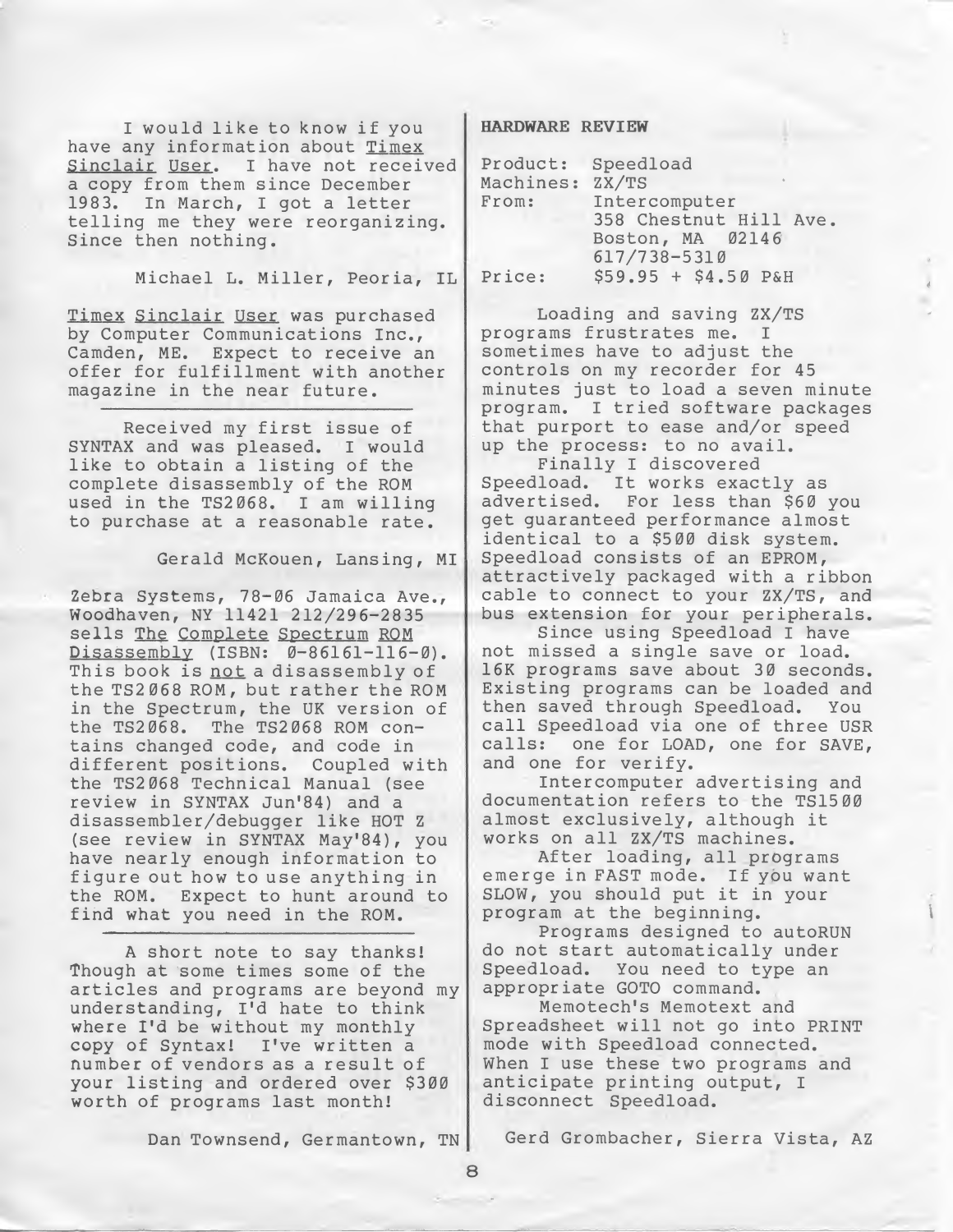I would like to know if you | HARDWARE REVIEW have any information about Timex<br>Sinclair User. I have not recei I have not received a copy from them since December 1983. In March, I got <sup>a</sup> letter telling me they were reorganizing. Since then nothing.

Michael L. Miller, Peoria, IL

Timex Sinclair User was purchased by Computer Communications Inc., Camden, ME. Expect to receive an offer for fulfillment with another magazine in the near future.

Received my first issue of SYNTAX and was pleased. I would like to obtain <sup>a</sup> listing of the complete disassembly of the ROM used in the TS2068. I am willing to purchase at a reasonable rate.

Gerald McKouen, Lansing, MI

Zebra Systems, 78-06 Jamaica Ave., Woodhaven, NY 11421 212/296-2835 sells The Complete Spectrum ROM Disassembly (ISBN: 0-86161-116-0). This book is not a disassembly of the TS2068 ROM, but rather the ROM in the Spectrum, the UK version of the TS2068. The TS2068 ROM contains changed code, and code in different positions. Coupled with the TS2068 Technical Manual (see review in SYNTAX Jun'84) and a disassembler/debugger like HOT <sup>Z</sup> (see review in SYNTAX May'84), you have nearly enough information to figure out how to use anything in the ROM. Expect to hunt around to find what you need in the ROM.

<sup>A</sup> short note to say thanks! Though at some times some of the articles and programs are beyond my understanding, I'd hate to think where I'd be without my monthly copy of Syntax! I've written a number of vendors as <sup>a</sup> result of your listing and ordered over \$300 worth of programs last month!

| Product: Speedload | Intercomputer                        |
|--------------------|--------------------------------------|
| Machines: ZX/TS    | 358 Chestnut Hill Ave.               |
| From:              | Boston, MA 02146                     |
| Price:             | 617/738-5310<br>$$59.95 + $4.50$ P&H |

Loading and saving ZX/TS programs frustrates me. I sometimes have to adjust the controls on my recorder for 45 minutes just to load a seven minute program. I tried software packages that purport to ease and/or speed up the process: to no avail.

Finally I discovered Speedload. It works exactly as<br>advertised. For less than \$60 For less than \$60 you get guaranteed performance almost identical to a \$500 disk system. Speedload consists of an EPROM, attractively packaged with a ribbon cable to connect to your ZX/TS, and bus extension for your peripherals.

Since using Speedload I have not missed a single save or load. 16K programs save about 30 seconds. Existing programs can be loaded and<br>then saved through Speedload. You then saved through Speedload. call Speedload via one of three USR<br>calls: one for LOAD, one for SAVE. one for LOAD, one for SAVE, and one for verify.

Intercomputer advertising and documentation refers to the TS1500 almost exclusively, although it works on all ZX/TS machines.

After loading, all programs emerge in FAST mode. If you want SLOW, you should put it in your program at the beginning.

Programs designed to autoRUN do not start automatically under Speedload. You need to type an appropriate GOTO command.

Memotech's Memotext and Spreadsheet will not go into PRINT mode with Speedload connected. When I use these two programs and anticipate printing output, I disconnect Speedload.

Dan Townsend, Germantown, TN Gerd Grombacher, Sierra Vista, AZ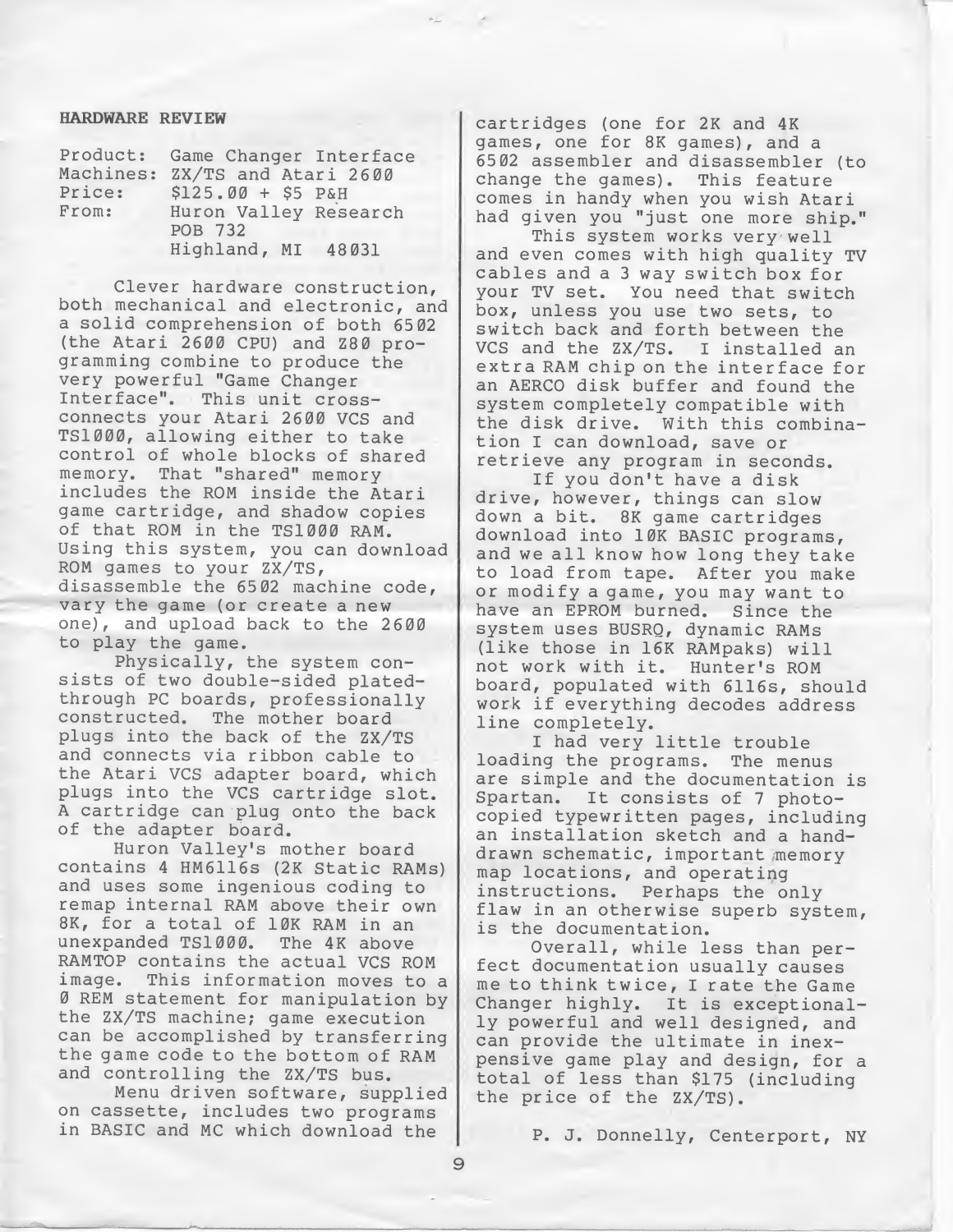#### HARDWARE REVIEW

|        | Product: Game Changer Interface |
|--------|---------------------------------|
|        | Machines: ZX/TS and Atari 2600  |
| Price: | $$125.00 + $5$ P&H              |
| From:  | Huron Valley Research           |
|        | POB 732                         |
|        | Highland, MI 48031              |

Clever hardware construction, both mechanical and electronic, and a solid comprehension of both 6502 (the Atari 2600 CPU) and Z80 programming combine to produce the very powerful "Game Changer Interface". This unit crossconnects your Atari 2600 VCS and TS1000, allowing either to take control of whole blocks of shared memory. That "shared" memory includes the ROM inside the Atari game cartridge, and shadow copies of that ROM in the TS1000 RAM. Using this system, you can download ROM games to your ZX/TS, disassemble the 6502 machine code, vary the game (or create <sup>a</sup> new one), and upload back to the 2600 to play the game.

Physically, the system consists of two double-sided platedthrough PC boards, professionally constructed. The mother board plugs into the back of the ZX/TS and connects via ribbon cable to the Atari VCS adapter board, which plugs into the VCS cartridge slot. <sup>A</sup> cartridge can plug onto the back of the adapter board.

Huron Valley's mother board contains <sup>4</sup> HM6116S (2K Static RAMs) and uses some ingenious coding to remap internal RAM above their own 8K, for a total of 10K RAM in an<br>unexpanded TS1000. The 4K above unexpanded TS1000. RAMTOP contains the actual VCS ROM image. This information moves to a <sup>0</sup> REM statement for manipulation by the ZX/TS machine; game execution can be accomplished by transferring the game code to the bottom of RAM and controlling the ZX/TS bus.

Menu driven software, supplied on cassette, includes two programs in BASIC and MC which download the

cartridges (one for 2K and 4K games, one for 8K games), and a 6502 assembler and disassembler (to change the games). This feature comes in handy when you wish Atari had given you "just one more ship."

This system works very well and even comes with high quality TV cables and a <sup>3</sup> way switch box for your TV set. You need that switch box, unless you use two sets, to switch back and forth between the VCS and the ZX/TS. I installed an extra RAM chip on the interface for an AERCO disk buffer and found the system completely compatible with the disk drive. With this combination I can download, save or retrieve any program in seconds.

If you don't have <sup>a</sup> disk drive, however, things can slow down <sup>a</sup> bit. 8K game cartridges download into 10K BASIC programs, and we all know how long they take to load from tape. After you make or modify a game, you may want to have an EPROM burned. Since the system uses BUSRQ, dynamic RAMs (like those in 16K RAMpaks) will not work with it. Hunter's ROM board, populated with 6116s, should work if everything decodes address line completely.

<sup>I</sup> had very little trouble loading the programs. The menus are simple and the documentation is Spartan. It consists of 7 photocopied typewritten pages, including an installation sketch and <sup>a</sup> handdrawn schematic, important memory map locations, and operating instructions. Perhaps the only flaw in an otherwise superb system, is the documentation.

Overall, while less than perfect documentation usually causes me to think twice, I rate the Game Changer highly. It is exceptionally powerful and well designed, and can provide the ultimate in inexpensive game play and design, for a total of less than \$175 (including the price of the ZX/TS).

P. J. Donnelly, Centerport, NY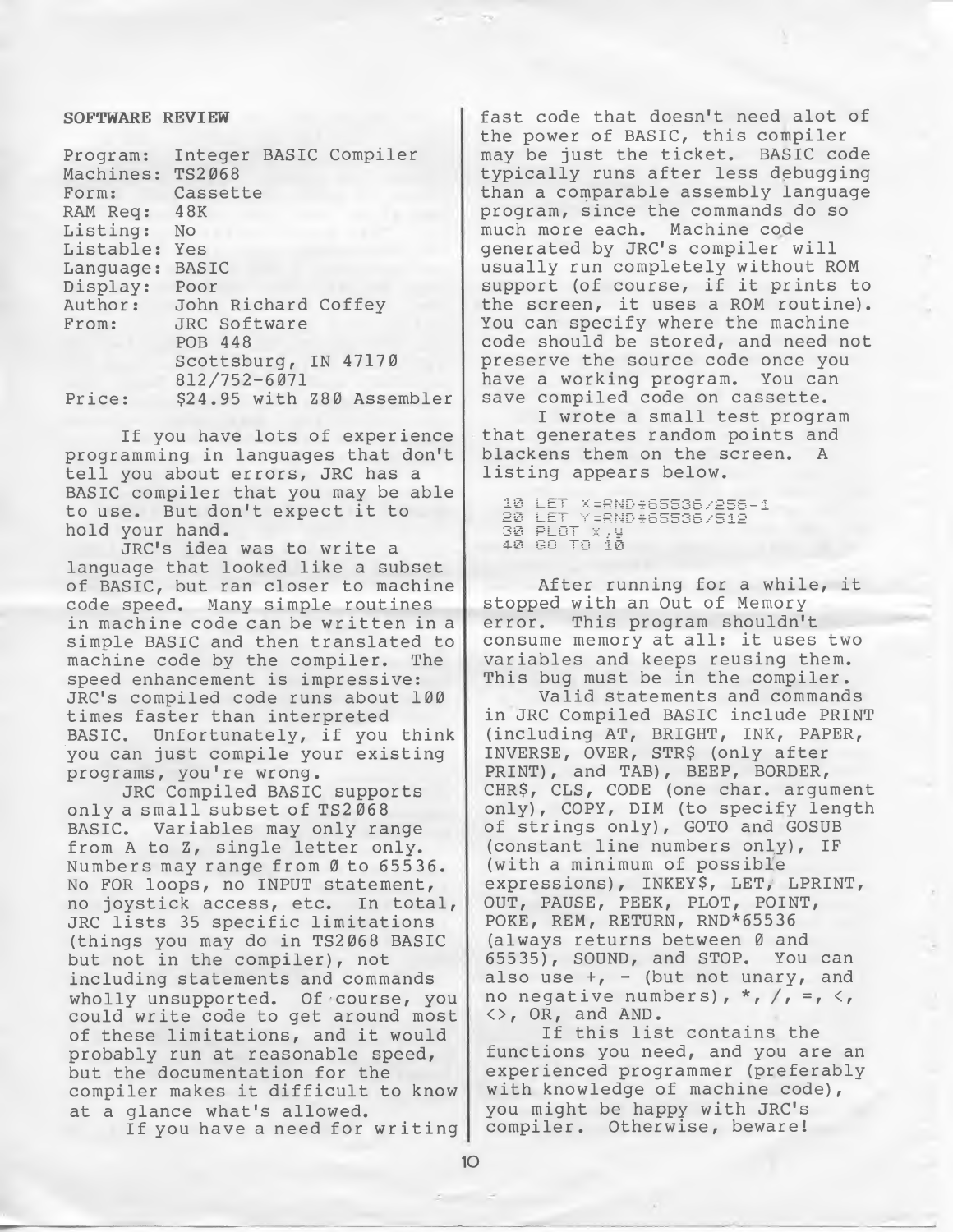#### SOFTWARE REVIEW

| Program:<br>Machines: | Integer BASIC Compiler<br><b>TS2068</b> |
|-----------------------|-----------------------------------------|
| Form:                 | Cassette                                |
| RAM Req:              | 48K                                     |
| Listing:              | No.                                     |
| Listable: Yes         |                                         |
| Lanquage:             | <b>BASIC</b>                            |
| Display:              | Poor                                    |
| Author:               | John Richard Coffey                     |
| From:                 | JRC Software                            |
|                       | POB 448                                 |
|                       | Scottsburg, IN 47170                    |
|                       | 812/752-6071                            |
| Price:                | \$24.95 with Z80 Assembler              |
|                       |                                         |

If you have lots of experience programming in languages that don't tell you about errors, JRC has <sup>a</sup> BASIC compiler that you may be able to use. But don't expect it to hold your hand.

JRC's idea was to write a language that looked like a subset of BASIC, but ran closer to machine code speed. Many simple routines in machine code can be written in <sup>a</sup> simple BASIC and then translated to machine code by the compiler. The speed enhancement is impressive: JRC's compiled code runs about 100 times faster than interpreted BASIC. Unfortunately, if you think you can just compile your existing programs, you're wrong.

JRC Compiled BASIC supports only a small subset of TS2068 BASIC. Variables may only range from <sup>A</sup> to Z, single letter only. Numbers may range from Ø to 65536. No FOR loops, no INPUT statement, no joystick access, etc. In total, JRC lists <sup>35</sup> specific limitations (things you may do in TS2068 BASIC but not in the compiler), not including statements and commands wholly unsupported. Of course, you could write code to get around most of these limitations, and it would probably run at reasonable speed, but the documentation for the compiler makes it difficult to know at a glance what's allowed.

If you have <sup>a</sup> need for writing

fast code that doesn't need alot of the power of BASIC, this compiler may be just the ticket. BASIC code typically runs after less debugging than a comparable assembly language program, since the commands do so much more each. Machine code generated by JRC's compiler will usually run completely without ROM support (of course, if it prints to the screen, it uses <sup>a</sup> ROM routine). You can specify where the machine code should be stored, and need not preserve the source code once you have a working program. You can save compiled code on cassette.

I wrote <sup>a</sup> small test program that generates random points and blackens them on the screen. <sup>A</sup> listing appears below.

After running for <sup>a</sup> while, it stopped with an Out of Memory error. This program shouldn't consume memory at all: it uses two variables and keeps reusing them. This bug must be in the compiler.

Valid statements and commands in JRC Compiled BASIC include PRINT (including AT, BRIGHT, INK, PAPER, INVERSE, OVER, STR\$ (only after PRINT), and TAB), BEEP, BORDER, CHR\$, CLS, CODE (one char, argument only), COPY, DIM (to specify length of strings only), GOTO and GOSUB (constant line numbers only), IF (with a minimum of possible expressions), INKEY\$, LET, LPRINT, OUT, PAUSE, PEEK, PLOT, POINT, POKE, REM, RETURN, RND\*65536 (always returns between <sup>0</sup> and 65535), SOUND, and STOP. You can also use  $+$ , - (but not unary, and no negative numbers),  $*,$   $/$ ,  $=$ ,  $\langle$ , <>, OR, and AND.

If this list contains the functions you need, and you are an experienced programmer (preferably with knowledge of machine code), you might be happy with JRC's compiler. Otherwise, beware!

<sup>10</sup> LET X=RND\*65536/256-1<br>20 LET Y=RND\*65536/512<br>30 PLOT X,y<br>40 GO TO 10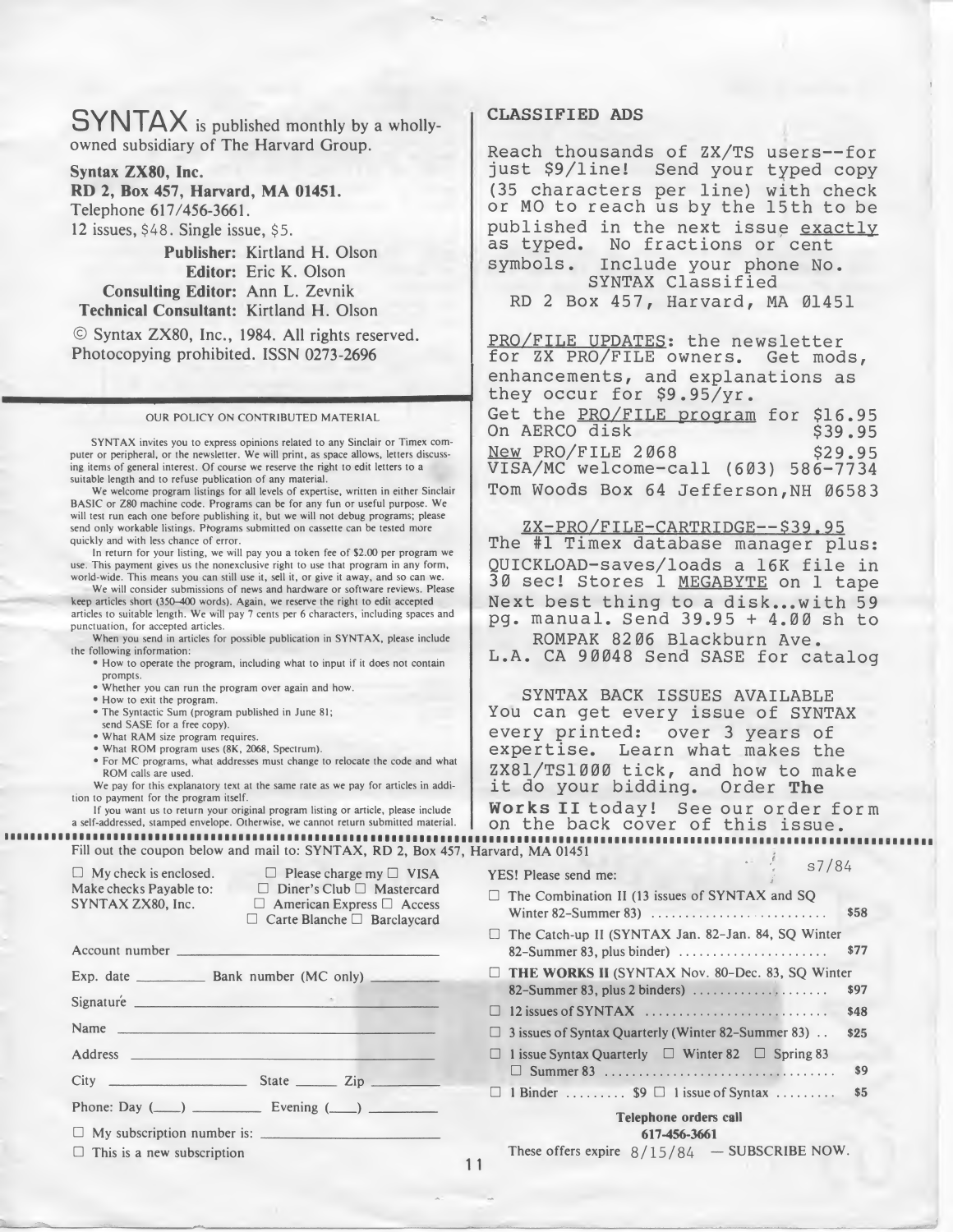SYNTAX is published monthly by <sup>a</sup> whollyowned subsidiary of The Harvard Group.

Syntax ZX80, Inc. RD 2, Box 457, Harvard, MA 01451. Telephone 617/456-3661. 12 issues, \$48. Single issue, \$5.

Publisher: Kirtland H. Olson Editor: Eric K. Olson Consulting Editor: Ann L. Zevnik Technical Consultant: Kirtland H. Olson

© Syntax ZX80, Inc., 1984. All rights reserved. Photocopying prohibited. ISSN 0273-2696

#### OUR POLICY ON CONTRIBUTED MATERIAL

SYNTAX invites you to express opinions related to any Sinclair or Timex com puter or peripheral, or the newsletter. We will print, as space allows, letters discussing items of general interest. Of course we reserve the right to edit letters to a suitable length and to refuse publication of any material.

We welcome program listings for all levels of expertise, written in either Sinclair BASIC or Z80 machine code. Programs can be for any fun or useful purpose. We will test run each one before publishing it, but we will not debug programs; please send only workable listings. Ptograms submitted on cassette can be tested more quickly and with less chance of error.

In return for your listing, we will pay you a token fee of \$2.00 per program we use. This payment gives us the nonexclusive right to use that program in any form, world-wide. This means you can still use it, sell it, or give it away, and so can we.

We will consider submissions of news and hardware or software reviews. Please keep articles short (350-400 words). Again, we reserve the right to edit accepted articles to suitable length. We will pay 7 cents per 6 characters, including spaces and punctuation, for accepted articles.

When you send in articles for possible publication in SYNTAX, please include the following information:

# Fill out the coupon below and mail to: SYNTAX, RD 2, Box 457, Harvard, MA 01451

| • How to operate the program, including what to input if it does not contain<br>prompts.                                                                                                                                                                                                                                                                                                                                                                                                                                                                                                                                                                                         | $L_{\bullet}A_{\bullet}$ $\left\langle$ $A$ $\right\rangle$ $\left\langle$ $9004\right\rangle$                                                                                            |
|----------------------------------------------------------------------------------------------------------------------------------------------------------------------------------------------------------------------------------------------------------------------------------------------------------------------------------------------------------------------------------------------------------------------------------------------------------------------------------------------------------------------------------------------------------------------------------------------------------------------------------------------------------------------------------|-------------------------------------------------------------------------------------------------------------------------------------------------------------------------------------------|
| · Whether you can run the program over again and how.<br>· How to exit the program.<br>· The Syntactic Sum (program published in June 81;<br>send SASE for a free copy).<br>• What RAM size program requires.<br>• What ROM program uses (8K, 2068, Spectrum).<br>• For MC programs, what addresses must change to relocate the code and what<br>ROM calls are used.<br>We pay for this explanatory text at the same rate as we pay for articles in addi-<br>tion to payment for the program itself.<br>If you want us to return your original program listing or article, please include<br>a self-addressed, stamped envelope. Otherwise, we cannot return submitted material. | SYNTAX BA<br>You can get<br>every printe<br>expertise. I<br>ZX81/TS1000<br>it do your b<br>Works II tod<br>on the back                                                                    |
| Fill out the coupon below and mail to: SYNTAX, RD 2, Box 457, Harvard, MA 01451                                                                                                                                                                                                                                                                                                                                                                                                                                                                                                                                                                                                  |                                                                                                                                                                                           |
| $\Box$ My check is enclosed. $\Box$ Please charge my $\Box$ VISA<br>Make checks Payable to: $\square$ Diner's Club $\square$ Mastercard<br>SYNTAX ZX80, Inc.<br>$\Box$ American Express $\Box$ Access<br>$\Box$ Carte Blanche $\Box$ Barclaycard                                                                                                                                                                                                                                                                                                                                                                                                                                 | YES! Please send me:<br>$\Box$ The Combination II<br>Winter 82-Summer<br>The Catch-up II (S'                                                                                              |
| Account number                                                                                                                                                                                                                                                                                                                                                                                                                                                                                                                                                                                                                                                                   | 82-Summer 83, plus                                                                                                                                                                        |
| Name experience and the second contract of the second contract of the second contract of the second contract of the second contract of the second contract of the second contract of the second contract of the second contrac<br>Phone: Day $(\_\_\_\_)$ Evening $(\_\_\_)$<br>$\Box$ My subscription number is: $\Box$                                                                                                                                                                                                                                                                                                                                                         | <b>THE WORKS II (S</b><br>П.<br>82-Summer 83, plus<br>$\Box$ 12 issues of SYNTA<br>$\Box$ 3 issues of Syntax Q<br>$\Box$ 1 issue Syntax Quart<br>$\Box$ Summer 83<br>$\Box$ 1 Binder<br>T |
| $\Box$ This is a new subscription                                                                                                                                                                                                                                                                                                                                                                                                                                                                                                                                                                                                                                                | These offers expire<br>11                                                                                                                                                                 |
|                                                                                                                                                                                                                                                                                                                                                                                                                                                                                                                                                                                                                                                                                  |                                                                                                                                                                                           |

#### CLASSIFIED ADS

Reach thousands of ZX/TS users—for just \$9/line! Send your typed copy (35 characters per line) with check or MO to reach us by the 15th to be published in the next issue exactly as typed. No fractions or cent<br>symbols. Include your phone No Include your phone No. SYNTAX Classified RD <sup>2</sup> Box 457, Harvard, MA 01451

PRO/FILE UPDATES: the newsletter for ZX PRO/FILE owners. Get mods, enhancements, and explanations as they occur for \$9.95/yr. Get the PRO/FILE program for \$16.95<br>On AERCO disk \$39.95 On AERCO disk \$39.95<br>
<u>New</u> PRO/FILE 2068 \$29.95 New PRO/FILE 2068 VISA/MC welcome-call (603) 586-7734 Tom Woods Box 64 Jefferson, NH 06583

ZX-PRO/FILE-CARTRIDGE--\$39.95 The #1 Timex database manager plus: QUICKLOAD-saves/loads <sup>a</sup> 16K file in 30 sec! Stores 1 MEGABYTE on 1 tape Next best thing to a disk...with <sup>59</sup> pg. manual. Send 39.95 <sup>+</sup> 4.00 sh to ROMPAK 8206 Blackburn Ave. L.A. CA 90048 Send SASE for catalog

SYNTAX BACK ISSUES AVAILABLE You can get every issue of SYNTAX every printed: over <sup>3</sup> years of expertise. Learn what makes the ZX81/TS1000 tick, and how to make it do your bidding. Order The Works II today! See our order form on the back cover of this issue.

s7/84 YES! Please send me:  $(13$  issues of SYNTAX and SQ Ey OCCU TOT \$9.99/YF.<br>
WERENCO disk \$39.9<br>
AERCO disk \$39.9<br>
WERENCO disk \$39.9<br>
SA/MC welcome-call (603) 586-773<br>
m Woods Box 64 Jefferson, NH 0658<br>
<u>ZX-PRO/FILE-CARTRIDGE--S39.95</u><br>
m Woods Box 64 Jefferson, NH 0658<br>
<u>ZX-</u>  $YNTAX Jan. 82-Jan. 84, SQ Winter  
binder)$  $\frac{ZX=PRO/FILE-CARTRIDGE--S39.95}{215120AD-saves/loadsa}$  and  $\frac{2X}{21512}$  in the sect Stores 1 MEGABYTE on 1 tap<br>
xt best thing to a disk...with 5<br>
. wat best thing to a disk...with 5<br>
. manual. Send 39.95 + 4.00 sh t<br>
ROMPAK 8206 Blackbur YNTAX Nov. 80-Dec. 83, SO Winter xt best thing to a disk...with 5<br>. manual. Send 39.95 + 4.00 sh t<br>ROMPAK 8206 Blackburn Ave.<br>A. CA 90048 Send SASE for cataloo<br>SYNTAX BACK ISSUES AVAILABLE<br>u can get every issue of SYNTAX<br>perty printed: over 3 years of<br>per Bridge Control and the Catch of Synchron States of Synchron States of All Timex database manager plus<br>  $\frac{ZX-PRO/FLLE-CARTIDGE--S39.95}{E+1. Timex database manager plus  
\nICKLOAD=saves/loads a 16K file i  
\nsee cl: Scores 1 MEGABYTE on 1 tape  
\nat best thing to a disk...with 5  
\n. manual, Send 39.95 + 4.00 sh t  
\n. COMPAR 820$ uarterly (Winter 82-Summer 83) . . \$25  $1$ erly  $\Box$  Winter 82  $\Box$  Spring 83 Cocur for \$9.95/yr.<br>
ERCO/FILE program for \$16.9<br>
ERCO disk<br>
PRO/FILE 2068<br>
PRO/FILE 2068<br>
(39.9<br>
/MO welcome-call (603) 586-773<br>
Woods Box 64 Jefferson, NH 0658<br>
X-PRO/FILE-CARTRIDGE--S39.95<br>
#1 Timex database manager plu The Catch-up II (SYNTAX Jan. 82-Jan. 84, SQ Winter<br>
32-Summer 83, plus binder)<br>
1977<br>
THE WORKS II (SYNTAX Nov. 80-Dec. 83, SQ Winter<br>
597<br>
12 issues of SYNTAX<br>
13 issues of SYNTAX<br>
13 issues of Syntax Quarterly (Winter 8 elephone orders call

617-456-3661

#### $8/15/84$  — SUBSCRIBE NOW.